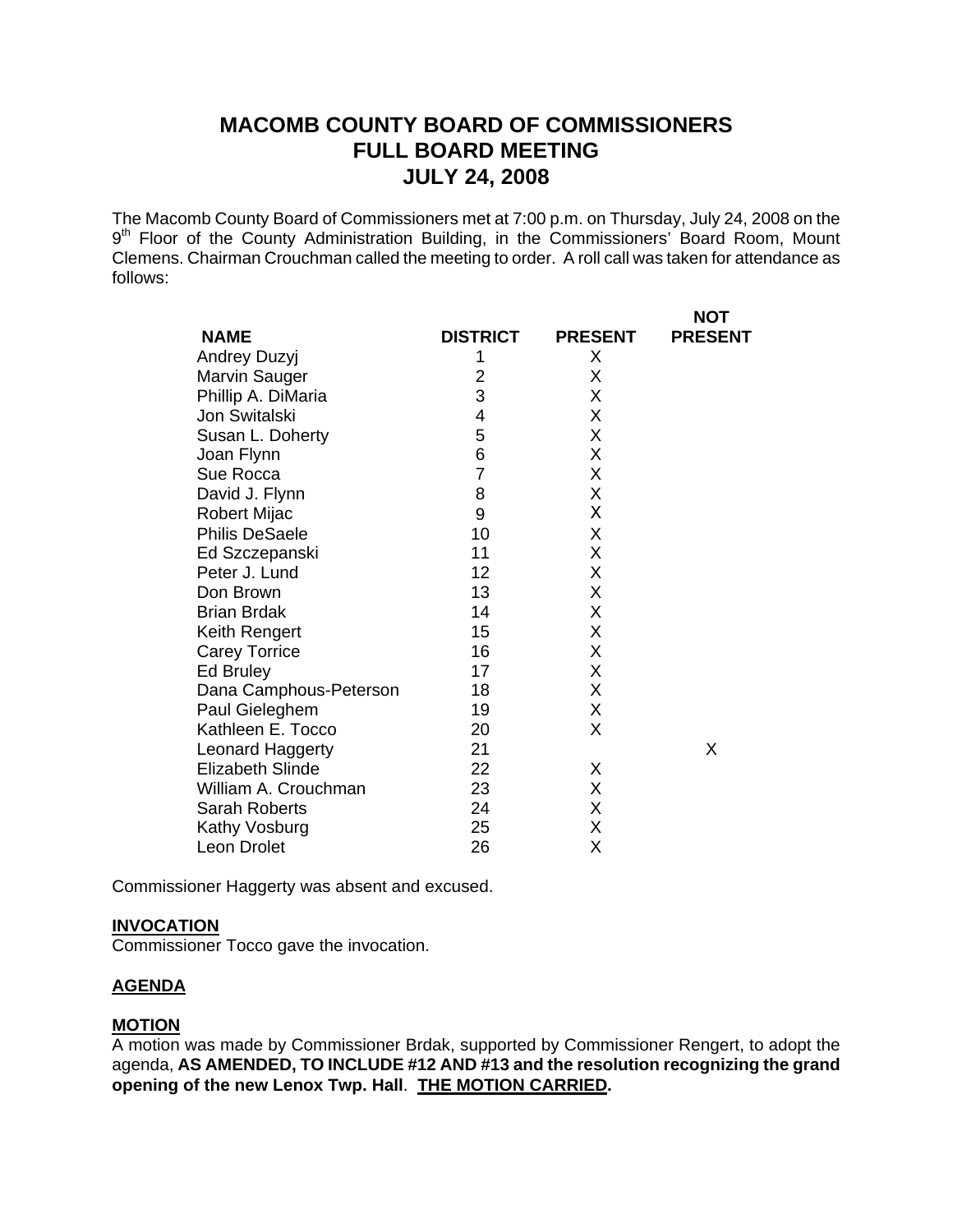# **MACOMB COUNTY BOARD OF COMMISSIONERS FULL BOARD MEETING JULY 24, 2008**

The Macomb County Board of Commissioners met at 7:00 p.m. on Thursday, July 24, 2008 on the 9<sup>th</sup> Floor of the County Administration Building, in the Commissioners' Board Room, Mount Clemens. Chairman Crouchman called the meeting to order. A roll call was taken for attendance as follows:

|                         |                 |                | <b>NOT</b>     |
|-------------------------|-----------------|----------------|----------------|
| <b>NAME</b>             | <b>DISTRICT</b> | <b>PRESENT</b> | <b>PRESENT</b> |
| Andrey Duzyj            | 1               | X              |                |
| Marvin Sauger           | 2               | X              |                |
| Phillip A. DiMaria      | 3               | Χ              |                |
| Jon Switalski           | 4               | Χ              |                |
| Susan L. Doherty        | 5               | Χ              |                |
| Joan Flynn              | 6               | X              |                |
| Sue Rocca               | $\overline{7}$  | Χ              |                |
| David J. Flynn          | 8               | Χ              |                |
| Robert Mijac            | 9               | Χ              |                |
| <b>Philis DeSaele</b>   | 10              | X              |                |
| Ed Szczepanski          | 11              | X              |                |
| Peter J. Lund           | 12              | X              |                |
| Don Brown               | 13              | X              |                |
| <b>Brian Brdak</b>      | 14              | X              |                |
| Keith Rengert           | 15              | X              |                |
| <b>Carey Torrice</b>    | 16              | Χ              |                |
| Ed Bruley               | 17              | X              |                |
| Dana Camphous-Peterson  | 18              | X              |                |
| Paul Gieleghem          | 19              | Χ              |                |
| Kathleen E. Tocco       | 20              | X              |                |
| Leonard Haggerty        | 21              |                | X              |
| <b>Elizabeth Slinde</b> | 22              | X              |                |
| William A. Crouchman    | 23              | X              |                |
| <b>Sarah Roberts</b>    | 24              | Χ              |                |
| Kathy Vosburg           | 25              | Χ              |                |
| Leon Drolet             | 26              | Χ              |                |

Commissioner Haggerty was absent and excused.

#### **INVOCATION**

Commissioner Tocco gave the invocation.

#### **AGENDA**

#### **MOTION**

A motion was made by Commissioner Brdak, supported by Commissioner Rengert, to adopt the agenda, **AS AMENDED, TO INCLUDE #12 AND #13 and the resolution recognizing the grand opening of the new Lenox Twp. Hall**. **THE MOTION CARRIED.**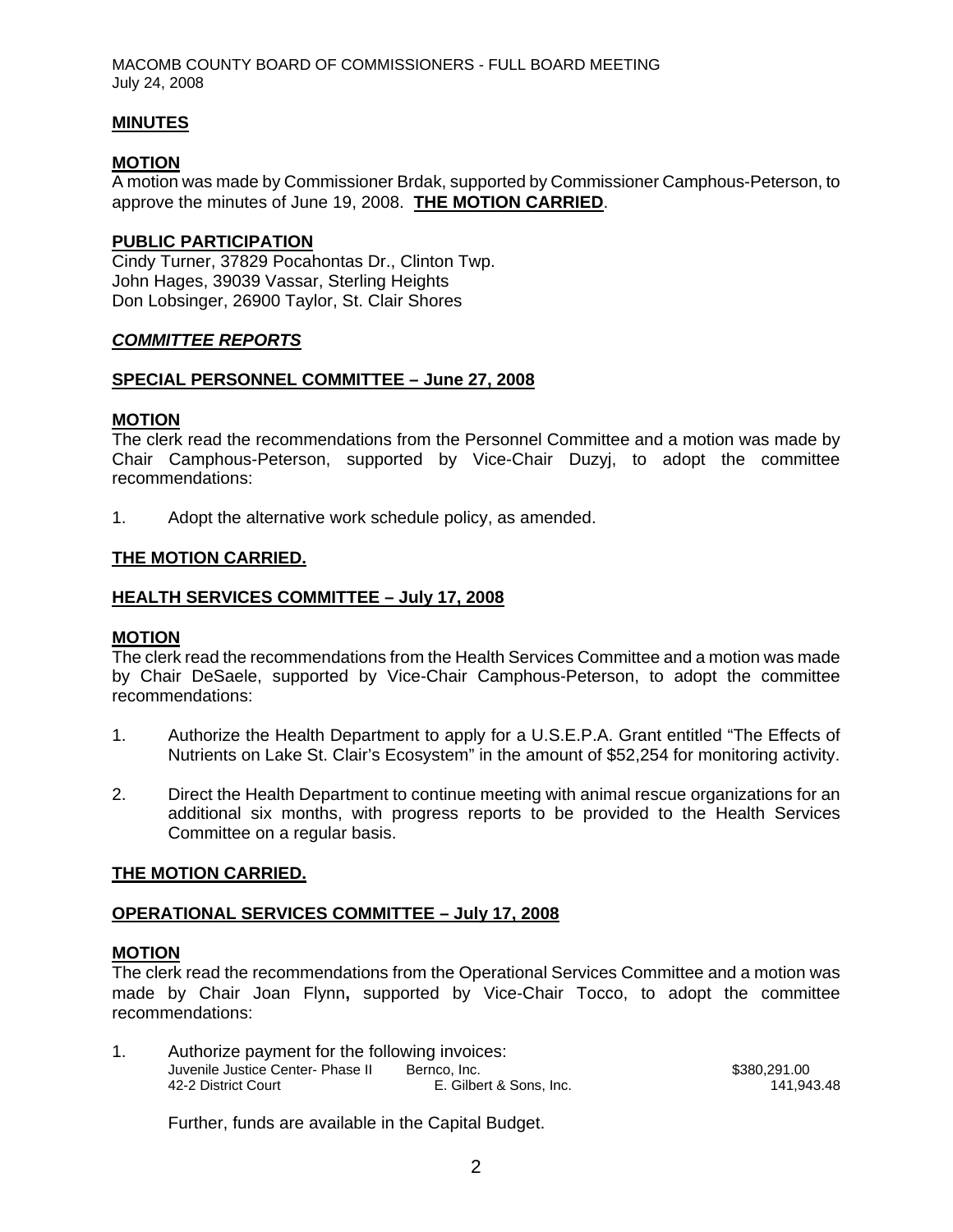MACOMB COUNTY BOARD OF COMMISSIONERS - FULL BOARD MEETING July 24, 2008

### **MINUTES**

### **MOTION**

A motion was made by Commissioner Brdak, supported by Commissioner Camphous-Peterson, to approve the minutes of June 19, 2008. **THE MOTION CARRIED**.

### **PUBLIC PARTICIPATION**

Cindy Turner, 37829 Pocahontas Dr., Clinton Twp. John Hages, 39039 Vassar, Sterling Heights Don Lobsinger, 26900 Taylor, St. Clair Shores

### *COMMITTEE REPORTS*

#### **SPECIAL PERSONNEL COMMITTEE – June 27, 2008**

#### **MOTION**

The clerk read the recommendations from the Personnel Committee and a motion was made by Chair Camphous-Peterson, supported by Vice-Chair Duzyj, to adopt the committee recommendations:

1. Adopt the alternative work schedule policy, as amended.

#### **THE MOTION CARRIED.**

#### **HEALTH SERVICES COMMITTEE – July 17, 2008**

#### **MOTION**

The clerk read the recommendations from the Health Services Committee and a motion was made by Chair DeSaele, supported by Vice-Chair Camphous-Peterson, to adopt the committee recommendations:

- 1. Authorize the Health Department to apply for a U.S.E.P.A. Grant entitled "The Effects of Nutrients on Lake St. Clair's Ecosystem" in the amount of \$52,254 for monitoring activity.
- 2. Direct the Health Department to continue meeting with animal rescue organizations for an additional six months, with progress reports to be provided to the Health Services Committee on a regular basis.

#### **THE MOTION CARRIED.**

#### **OPERATIONAL SERVICES COMMITTEE – July 17, 2008**

#### **MOTION**

The clerk read the recommendations from the Operational Services Committee and a motion was made by Chair Joan Flynn**,** supported by Vice-Chair Tocco, to adopt the committee recommendations:

| Authorize payment for the following invoices: |                         |              |  |  |
|-----------------------------------------------|-------------------------|--------------|--|--|
| Juvenile Justice Center- Phase II             | Bernco, Inc.            | \$380,291,00 |  |  |
| 42-2 District Court                           | E. Gilbert & Sons. Inc. | 141.943.48   |  |  |

Further, funds are available in the Capital Budget.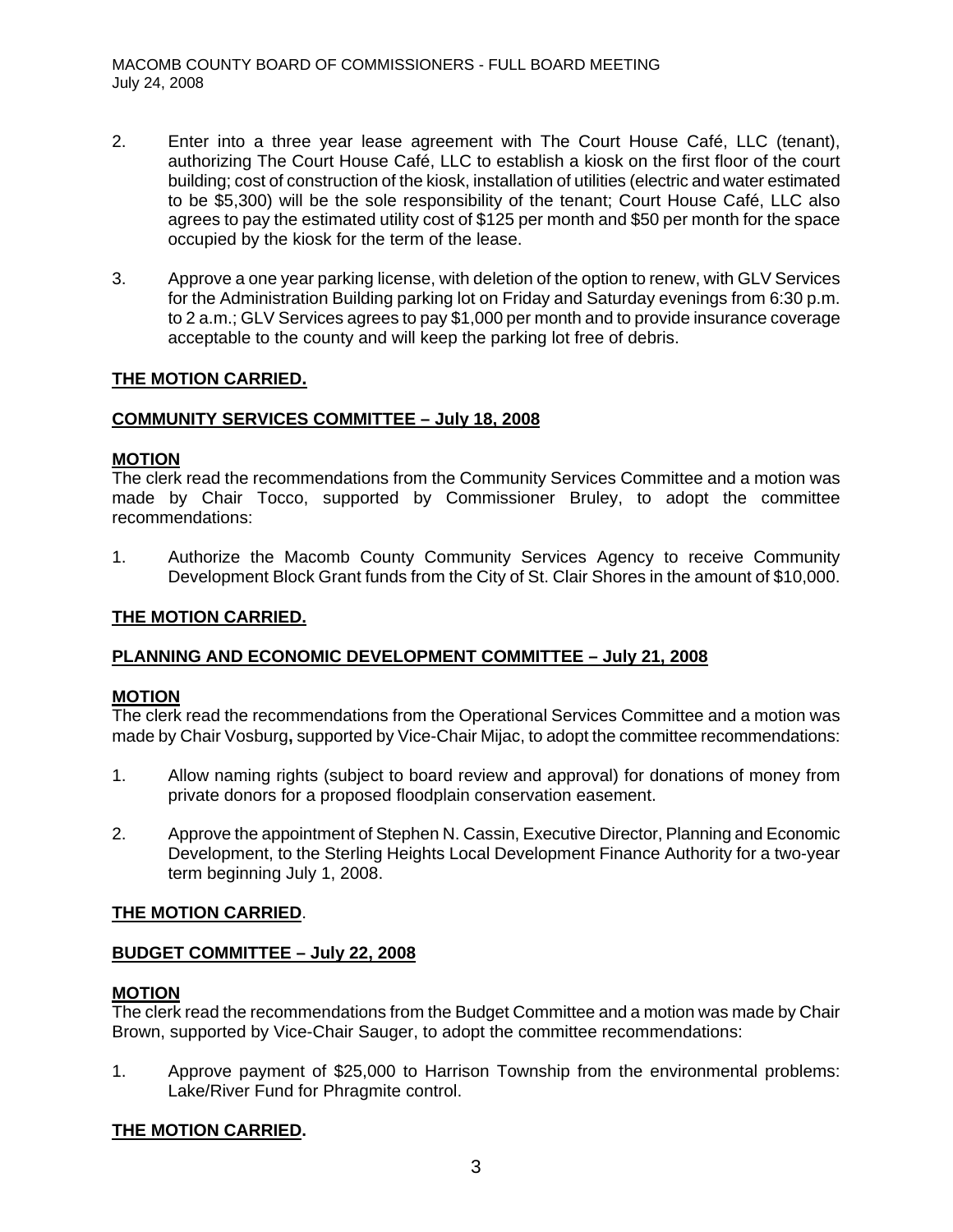- 2. Enter into a three year lease agreement with The Court House Café, LLC (tenant), authorizing The Court House Café, LLC to establish a kiosk on the first floor of the court building; cost of construction of the kiosk, installation of utilities (electric and water estimated to be \$5,300) will be the sole responsibility of the tenant; Court House Café, LLC also agrees to pay the estimated utility cost of \$125 per month and \$50 per month for the space occupied by the kiosk for the term of the lease.
- 3. Approve a one year parking license, with deletion of the option to renew, with GLV Services for the Administration Building parking lot on Friday and Saturday evenings from 6:30 p.m. to 2 a.m.; GLV Services agrees to pay \$1,000 per month and to provide insurance coverage acceptable to the county and will keep the parking lot free of debris.

### **THE MOTION CARRIED.**

### **COMMUNITY SERVICES COMMITTEE – July 18, 2008**

### **MOTION**

The clerk read the recommendations from the Community Services Committee and a motion was made by Chair Tocco, supported by Commissioner Bruley, to adopt the committee recommendations:

1. Authorize the Macomb County Community Services Agency to receive Community Development Block Grant funds from the City of St. Clair Shores in the amount of \$10,000.

### **THE MOTION CARRIED.**

### **PLANNING AND ECONOMIC DEVELOPMENT COMMITTEE – July 21, 2008**

#### **MOTION**

The clerk read the recommendations from the Operational Services Committee and a motion was made by Chair Vosburg**,** supported by Vice-Chair Mijac, to adopt the committee recommendations:

- 1. Allow naming rights (subject to board review and approval) for donations of money from private donors for a proposed floodplain conservation easement.
- 2. Approve the appointment of Stephen N. Cassin, Executive Director, Planning and Economic Development, to the Sterling Heights Local Development Finance Authority for a two-year term beginning July 1, 2008.

#### **THE MOTION CARRIED**.

#### **BUDGET COMMITTEE – July 22, 2008**

#### **MOTION**

The clerk read the recommendations from the Budget Committee and a motion was made by Chair Brown, supported by Vice-Chair Sauger, to adopt the committee recommendations:

1. Approve payment of \$25,000 to Harrison Township from the environmental problems: Lake/River Fund for Phragmite control.

#### **THE MOTION CARRIED.**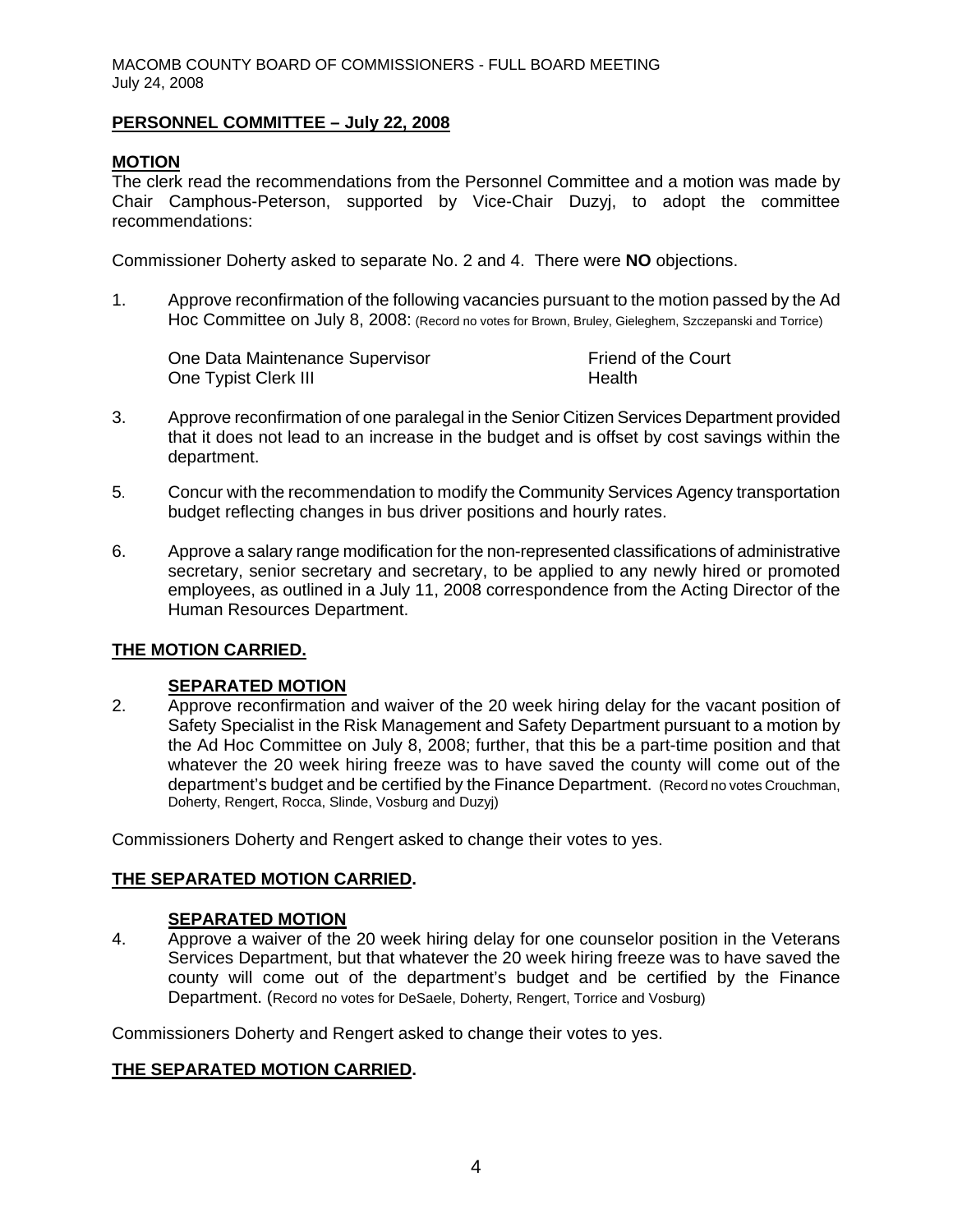### **PERSONNEL COMMITTEE – July 22, 2008**

### **MOTION**

The clerk read the recommendations from the Personnel Committee and a motion was made by Chair Camphous-Peterson, supported by Vice-Chair Duzyj, to adopt the committee recommendations:

Commissioner Doherty asked to separate No. 2 and 4. There were **NO** objections.

1. Approve reconfirmation of the following vacancies pursuant to the motion passed by the Ad Hoc Committee on July 8, 2008: (Record no votes for Brown, Bruley, Gieleghem, Szczepanski and Torrice)

One Data Maintenance Supervisor Friend of the Court One Typist Clerk III https://www.assett.com/discrete intervalse in the Health

- 3. Approve reconfirmation of one paralegal in the Senior Citizen Services Department provided that it does not lead to an increase in the budget and is offset by cost savings within the department.
- 5. Concur with the recommendation to modify the Community Services Agency transportation budget reflecting changes in bus driver positions and hourly rates.
- 6. Approve a salary range modification for the non-represented classifications of administrative secretary, senior secretary and secretary, to be applied to any newly hired or promoted employees, as outlined in a July 11, 2008 correspondence from the Acting Director of the Human Resources Department.

# **THE MOTION CARRIED.**

### **SEPARATED MOTION**

2. Approve reconfirmation and waiver of the 20 week hiring delay for the vacant position of Safety Specialist in the Risk Management and Safety Department pursuant to a motion by the Ad Hoc Committee on July 8, 2008; further, that this be a part-time position and that whatever the 20 week hiring freeze was to have saved the county will come out of the department's budget and be certified by the Finance Department. (Record no votes Crouchman, Doherty, Rengert, Rocca, Slinde, Vosburg and Duzyj)

Commissioners Doherty and Rengert asked to change their votes to yes.

### **THE SEPARATED MOTION CARRIED.**

### **SEPARATED MOTION**

4. Approve a waiver of the 20 week hiring delay for one counselor position in the Veterans Services Department, but that whatever the 20 week hiring freeze was to have saved the county will come out of the department's budget and be certified by the Finance Department. (Record no votes for DeSaele, Doherty, Rengert, Torrice and Vosburg)

Commissioners Doherty and Rengert asked to change their votes to yes.

### **THE SEPARATED MOTION CARRIED.**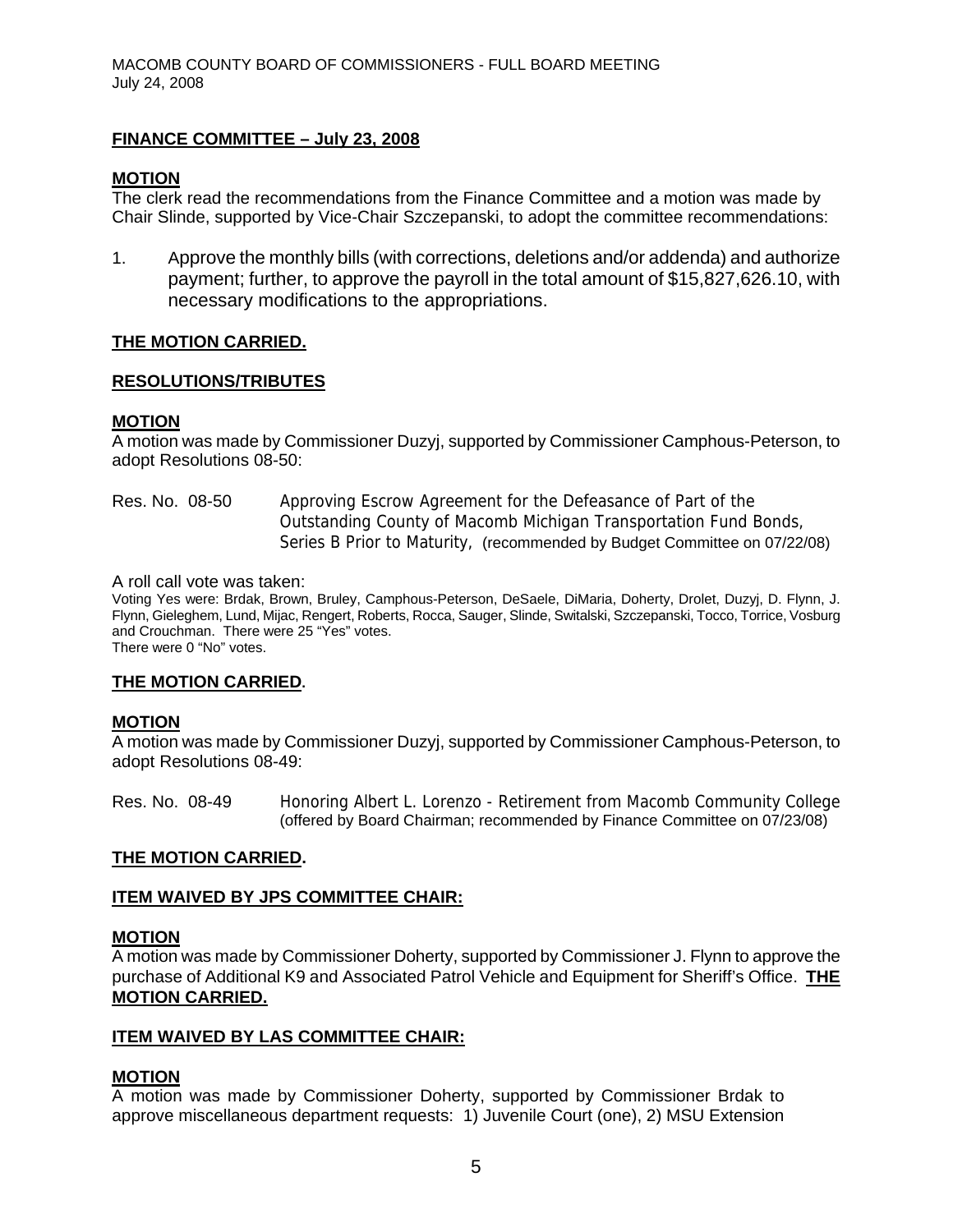### **FINANCE COMMITTEE – July 23, 2008**

### **MOTION**

The clerk read the recommendations from the Finance Committee and a motion was made by Chair Slinde, supported by Vice-Chair Szczepanski, to adopt the committee recommendations:

1. Approve the monthly bills (with corrections, deletions and/or addenda) and authorize payment; further, to approve the payroll in the total amount of \$15,827,626.10, with necessary modifications to the appropriations.

### **THE MOTION CARRIED.**

### **RESOLUTIONS/TRIBUTES**

#### **MOTION**

A motion was made by Commissioner Duzyj, supported by Commissioner Camphous-Peterson, to adopt Resolutions 08-50:

### Res. No. 08-50 Approving Escrow Agreement for the Defeasance of Part of the Outstanding County of Macomb Michigan Transportation Fund Bonds, Series B Prior to Maturity, (recommended by Budget Committee on 07/22/08)

A roll call vote was taken:

Voting Yes were: Brdak, Brown, Bruley, Camphous-Peterson, DeSaele, DiMaria, Doherty, Drolet, Duzyj, D. Flynn, J. Flynn, Gieleghem, Lund, Mijac, Rengert, Roberts, Rocca, Sauger, Slinde, Switalski, Szczepanski, Tocco, Torrice, Vosburg and Crouchman. There were 25 "Yes" votes. There were 0 "No" votes.

**THE MOTION CARRIED.** 

#### **MOTION**

A motion was made by Commissioner Duzyj, supported by Commissioner Camphous-Peterson, to adopt Resolutions 08-49:

Res. No. 08-49 Honoring Albert L. Lorenzo - Retirement from Macomb Community College (offered by Board Chairman; recommended by Finance Committee on 07/23/08)

#### **THE MOTION CARRIED.**

### **ITEM WAIVED BY JPS COMMITTEE CHAIR:**

### **MOTION**

A motion was made by Commissioner Doherty, supported by Commissioner J. Flynn to approve the purchase of Additional K9 and Associated Patrol Vehicle and Equipment for Sheriff's Office. **THE MOTION CARRIED.** 

#### **ITEM WAIVED BY LAS COMMITTEE CHAIR:**

### **MOTION**

A motion was made by Commissioner Doherty, supported by Commissioner Brdak to approve miscellaneous department requests: 1) Juvenile Court (one), 2) MSU Extension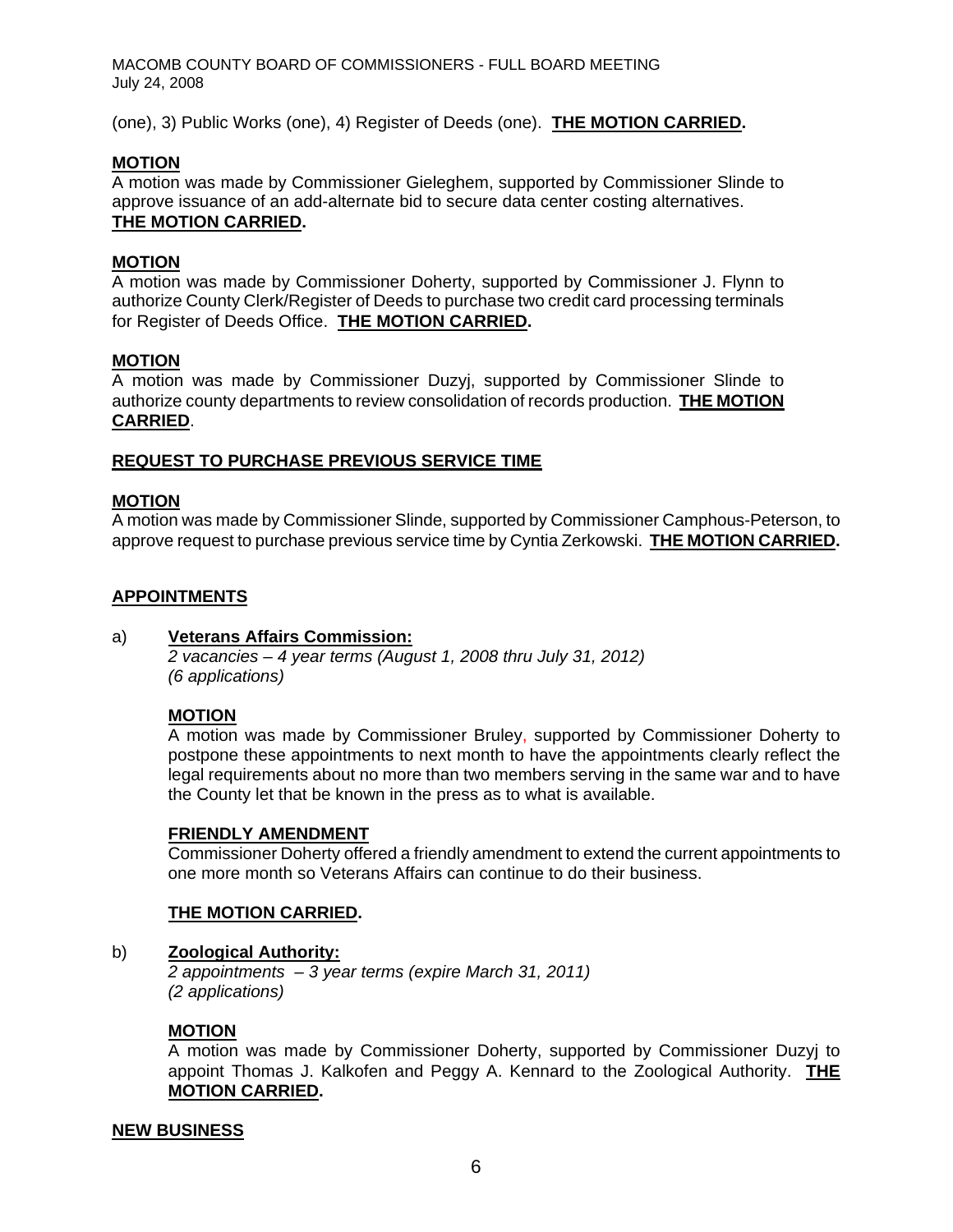MACOMB COUNTY BOARD OF COMMISSIONERS - FULL BOARD MEETING July 24, 2008

(one), 3) Public Works (one), 4) Register of Deeds (one). **THE MOTION CARRIED.** 

### **MOTION**

A motion was made by Commissioner Gieleghem, supported by Commissioner Slinde to approve issuance of an add-alternate bid to secure data center costing alternatives. **THE MOTION CARRIED.** 

### **MOTION**

A motion was made by Commissioner Doherty, supported by Commissioner J. Flynn to authorize County Clerk/Register of Deeds to purchase two credit card processing terminals for Register of Deeds Office. **THE MOTION CARRIED.** 

### **MOTION**

A motion was made by Commissioner Duzyj, supported by Commissioner Slinde to authorize county departments to review consolidation of records production. **THE MOTION CARRIED**.

### **REQUEST TO PURCHASE PREVIOUS SERVICE TIME**

### **MOTION**

A motion was made by Commissioner Slinde, supported by Commissioner Camphous-Peterson, to approve request to purchase previous service time by Cyntia Zerkowski. **THE MOTION CARRIED.** 

### **APPOINTMENTS**

#### a) **Veterans Affairs Commission:**

*2 vacancies – 4 year terms (August 1, 2008 thru July 31, 2012) (6 applications)* 

### **MOTION**

A motion was made by Commissioner Bruley, supported by Commissioner Doherty to postpone these appointments to next month to have the appointments clearly reflect the legal requirements about no more than two members serving in the same war and to have the County let that be known in the press as to what is available.

#### **FRIENDLY AMENDMENT**

Commissioner Doherty offered a friendly amendment to extend the current appointments to one more month so Veterans Affairs can continue to do their business.

#### **THE MOTION CARRIED.**

#### b) **Zoological Authority:**

*2 appointments – 3 year terms (expire March 31, 2011) (2 applications)* 

#### **MOTION**

A motion was made by Commissioner Doherty, supported by Commissioner Duzyj to appoint Thomas J. Kalkofen and Peggy A. Kennard to the Zoological Authority. **THE MOTION CARRIED.** 

#### **NEW BUSINESS**